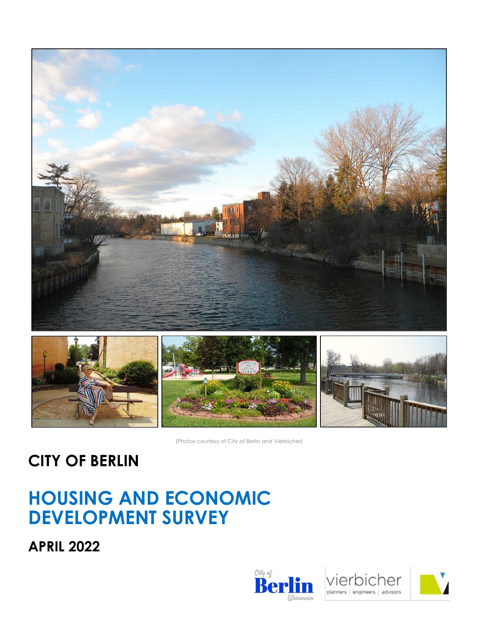



(Photos courtesy of City of Berlin and Vierbicher)

### **CITY OF BERLIN**

### **HOUSING AND ECONOMIC DEVELOPMENT SURVEY**

**APRIL 2022**





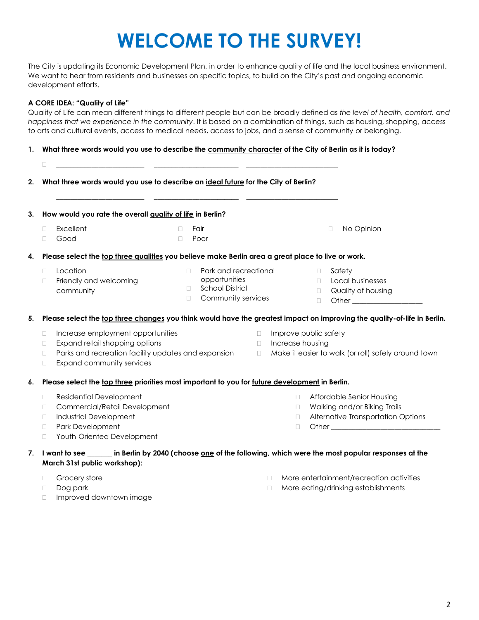# **WELCOME TO THE SURVEY!**

The City is updating its Economic Development Plan, in order to enhance quality of life and the local business environment. We want to hear from residents and businesses on specific topics, to build on the City's past and ongoing economic development efforts.

#### **A CORE IDEA: "Quality of Life"**

Quality of Life can mean different things to different people but can be broadly defined as *the level of health, comfort, and happiness that we experience in the community*. It is based on a combination of things, such as housing, shopping, access to arts and cultural events, access to medical needs, access to jobs, and a sense of community or belonging.

**1. What three words would you use to describe the community character of the City of Berlin as it is today?**

| 2. | □<br>What three words would you use to describe an ideal future for the City of Berlin?                                                                                               |                                                                                                         |                            |                                           |                                      |                                                                                                   |
|----|---------------------------------------------------------------------------------------------------------------------------------------------------------------------------------------|---------------------------------------------------------------------------------------------------------|----------------------------|-------------------------------------------|--------------------------------------|---------------------------------------------------------------------------------------------------|
| 3. | How would you rate the overall quality of life in Berlin?                                                                                                                             |                                                                                                         |                            |                                           |                                      |                                                                                                   |
|    | Excellent<br>П<br>Good<br>□                                                                                                                                                           | Fair<br>$\Box$<br>Poor<br>$\Box$                                                                        |                            |                                           |                                      | No Opinion<br>$\Box$                                                                              |
| 4. | Please select the top three qualities you believe make Berlin area a great place to live or work.                                                                                     |                                                                                                         |                            |                                           |                                      |                                                                                                   |
|    | Location<br>П.<br>Friendly and welcoming<br>□<br>community                                                                                                                            | Park and recreational<br>П.<br>opportunities<br><b>School District</b><br>П.<br>Community services<br>П |                            |                                           | $\Box$<br>$\Box$<br>$\Box$<br>$\Box$ | Safety<br>Local businesses<br>Quality of housing<br>Other <b>Community</b> Other <b>Community</b> |
| 5. | Please select the top three changes you think would have the greatest impact on improving the quality-of-life in Berlin.                                                              |                                                                                                         |                            |                                           |                                      |                                                                                                   |
|    | Increase employment opportunities<br>□<br>Expand retail shopping options<br>□<br>Parks and recreation facility updates and expansion<br>$\Box$<br>Expand community services<br>□      |                                                                                                         | $\Box$<br>$\Box$<br>$\Box$ | Improve public safety<br>Increase housing |                                      | Make it easier to walk (or roll) safely around town                                               |
| 6. | Please select the top three priorities most important to you for future development in Berlin.                                                                                        |                                                                                                         |                            |                                           |                                      |                                                                                                   |
|    | <b>Residential Development</b><br>□<br>Commercial/Retail Development<br>□<br><b>Industrial Development</b><br>□<br>Park Development<br>$\Box$<br>Youth-Oriented Development<br>$\Box$ |                                                                                                         |                            | O.<br>$\Box$<br>$\Box$<br>$\Box$          |                                      | Affordable Senior Housing<br>Walking and/or Biking Trails<br>Alternative Transportation Options   |
|    | 7.   I want to see ______ in Berlin by 2040 (choose <u>one</u> of the following, which were the most popular responses at the<br>March 31st public workshop):                         |                                                                                                         |                            |                                           |                                      |                                                                                                   |
|    | Grocery store<br>O<br>Dog park<br>$\Box$                                                                                                                                              |                                                                                                         |                            | $\Box$<br>$\Box$                          |                                      | More entertainment/recreation activities<br>More eating/drinking establishments                   |

- Dog park
- Improved downtown image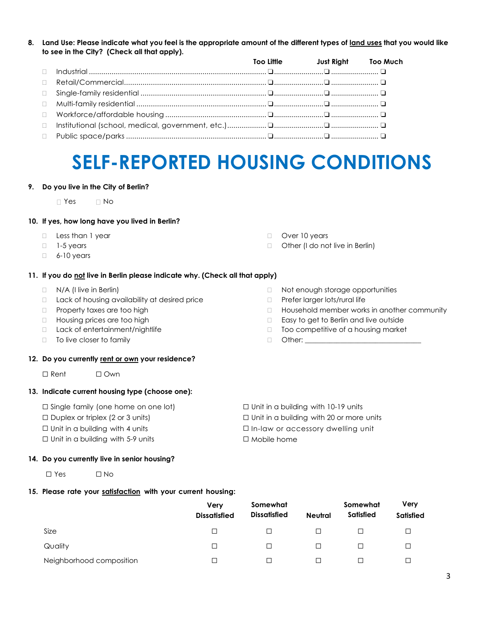**8. Land Use: Please indicate what you feel is the appropriate amount of the different types of land uses that you would like to see in the City? (Check all that apply).** 

|        |  | Too Little Just Right Too Much |  |
|--------|--|--------------------------------|--|
|        |  |                                |  |
| $\Box$ |  |                                |  |
| $\Box$ |  |                                |  |
|        |  |                                |  |
|        |  |                                |  |
| $\Box$ |  |                                |  |
| $\Box$ |  |                                |  |

### **SELF-REPORTED HOUSING CONDITIONS**

#### **9. Do you live in the City of Berlin?**

D Yes D No

#### **10. If yes, how long have you lived in Berlin?**

- **Less than 1 year**
- $\Box$  1-5 years
- $\Box$  6-10 years

### **11. If you do not live in Berlin please indicate why. (Check all that apply)**

- $\neg$  N/A (I live in Berlin)
- $\Box$  Lack of housing availability at desired price
- D Property taxes are too high
- □ Housing prices are too high
- □ Lack of entertainment/nightlife
- □ To live closer to family

#### **12. Do you currently rent or own your residence?**

☐ Rent ☐ Own

#### **13. Indicate current housing type (choose one):**

- ☐ Single family (one home on one lot)
- $\Box$  Duplex or triplex (2 or 3 units)
- $\Box$  Unit in a building with 4 units
- ☐ Unit in a building with 5-9 units

#### **14. Do you currently live in senior housing?**

☐ Yes ☐ No

### **15. Please rate your satisfaction with your current housing:**

**Very Dissatisfied Somewhat Dissatisfied Neutral Somewhat Satisfied Very Satisfied**  $\Box$ Quality ☐ ☐ ☐ ☐ ☐ Neighborhood composition ☐ ☐ ☐ ☐ ☐

- □ Not enough storage opportunities
- D Prefer larger lots/rural life

□ Other (I do not live in Berlin)

D Over 10 years

- □ Household member works in another community
- □ Easy to get to Berlin and live outside
- $\Box$  Too competitive of a housing market
- $\Box$  Other:  $\_\_$
- ☐ Unit in a building with 10-19 units
- ☐ Unit in a building with 20 or more units
- ☐ In-law or accessory dwelling unit
- ☐ Mobile home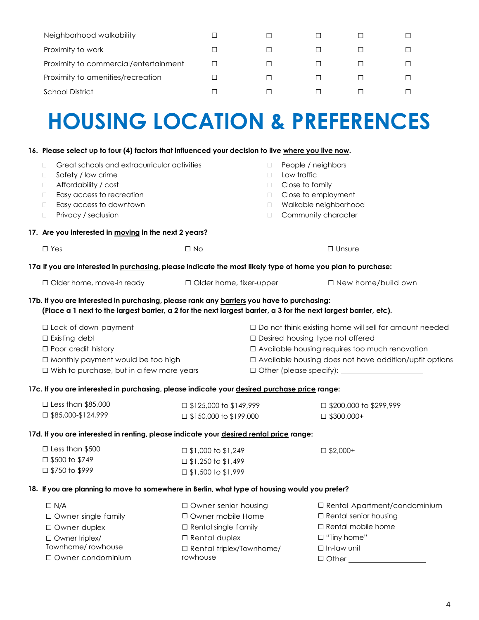| Neighborhood walkability              |  |  |  |
|---------------------------------------|--|--|--|
| Proximity to work                     |  |  |  |
| Proximity to commercial/entertainment |  |  |  |
| Proximity to amenities/recreation     |  |  |  |
| School District                       |  |  |  |

# **HOUSING LOCATION & PREFERENCES**

#### **16. Please select up to four (4) factors that influenced your decision to live where you live now.**

☐ Owner duplex ☐ Owner triplex/ Townhome/ rowhouse ☐ Owner condominium

| Great schools and extracurricular activities<br>$\Box$                                                            |                               | $\Box$                                                   | People / neighbors                                       |  |  |  |
|-------------------------------------------------------------------------------------------------------------------|-------------------------------|----------------------------------------------------------|----------------------------------------------------------|--|--|--|
| Safety / low crime<br>$\Box$                                                                                      |                               | $\Box$                                                   | Low traffic                                              |  |  |  |
| Affordability / cost<br>$\Box$                                                                                    |                               | $\Box$                                                   | Close to family                                          |  |  |  |
| Easy access to recreation<br>$\Box$                                                                               |                               | $\Box$                                                   | Close to employment                                      |  |  |  |
| Easy access to downtown<br>$\Box$                                                                                 |                               | $\Box$                                                   | Walkable neighborhood                                    |  |  |  |
| Privacy / seclusion<br>$\Box$                                                                                     |                               | $\Box$                                                   | Community character                                      |  |  |  |
| 17. Are you interested in moving in the next 2 years?                                                             |                               |                                                          |                                                          |  |  |  |
| $\Box$ Yes                                                                                                        | $\Box$ No                     |                                                          | $\Box$ Unsure                                            |  |  |  |
| 17a If you are interested in purchasing, please indicate the most likely type of home you plan to purchase:       |                               |                                                          |                                                          |  |  |  |
| □ Older home, move-in ready                                                                                       | □ Older home, fixer-upper     |                                                          | □ New home/build own                                     |  |  |  |
| 17b. If you are interested in purchasing, please rank any barriers you have to purchasing:                        |                               |                                                          |                                                          |  |  |  |
| (Place a 1 next to the largest barrier, a 2 for the next largest barrier, a 3 for the next largest barrier, etc). |                               |                                                          |                                                          |  |  |  |
| □ Lack of down payment                                                                                            |                               |                                                          | □ Do not think existing home will sell for amount needed |  |  |  |
| $\Box$ Existing debt                                                                                              |                               |                                                          | □ Desired housing type not offered                       |  |  |  |
| $\Box$ Poor credit history                                                                                        |                               | □ Available housing requires too much renovation         |                                                          |  |  |  |
| □ Monthly payment would be too high                                                                               |                               | □ Available housing does not have addition/upfit options |                                                          |  |  |  |
| $\Box$ Wish to purchase, but in a few more years                                                                  |                               |                                                          |                                                          |  |  |  |
| 17c. If you are interested in purchasing, please indicate your desired purchase price range:                      |                               |                                                          |                                                          |  |  |  |
| $\Box$ Less than \$85,000                                                                                         | $\Box$ \$125,000 to \$149,999 |                                                          | □ \$200,000 to \$299,999                                 |  |  |  |
| $\Box$ \$85,000-\$124,999                                                                                         | $\Box$ \$150,000 to \$199,000 |                                                          | $\Box$ \$300,000+                                        |  |  |  |
| 17d. If you are interested in renting, please indicate your desired rental price range:                           |                               |                                                          |                                                          |  |  |  |
| $\square$ Less than \$500                                                                                         | $\Box$ \$1,000 to \$1,249     |                                                          | $\Box$ \$2,000+                                          |  |  |  |
| □ \$500 to \$749                                                                                                  | $\square$ \$1,250 to \$1,499  |                                                          |                                                          |  |  |  |
| □ \$750 to \$999                                                                                                  | □ \$1,500 to \$1,999          |                                                          |                                                          |  |  |  |
| 18. If you are planning to move to somewhere in Berlin, what type of housing would you prefer?                    |                               |                                                          |                                                          |  |  |  |
| $\Box N/A$                                                                                                        | □ Owner senior housing        |                                                          | □ Rental Apartment/condominium                           |  |  |  |
| □ Owner single family                                                                                             | □ Owner mobile Home           |                                                          | $\Box$ Rental senior housing                             |  |  |  |

□ Rental single family ☐ Rental duplex

rowhouse

☐ Rental triplex/Townhome/

☐ Rental mobile home

□ "Tiny home" ☐ In-law unit □ Other \_\_\_\_\_\_\_

4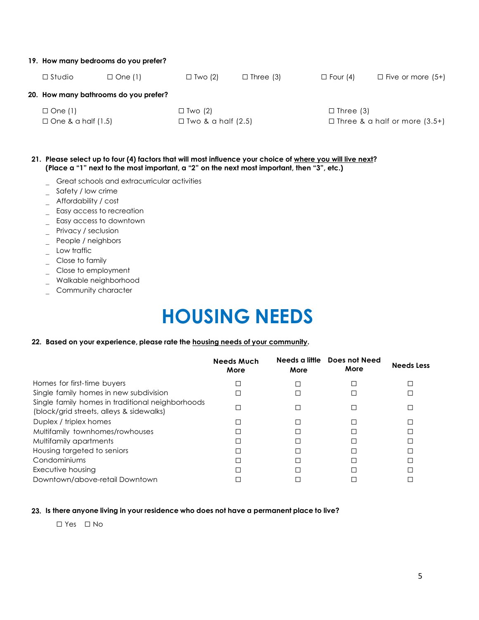#### **19. How many bedrooms do you prefer?**

| $\square$ Studio          | $\Box$ One (1)                        | $\Box$ Two (2)            | $\Box$ Four (4) | $\Box$ Five or more (5+)             |  |  |
|---------------------------|---------------------------------------|---------------------------|-----------------|--------------------------------------|--|--|
|                           | 20. How many bathrooms do you prefer? |                           |                 |                                      |  |  |
| $\Box$ One (1)            |                                       | $\Box$ Two (2)            |                 | $\Box$ Three (3)                     |  |  |
| $\Box$ One & a half (1.5) |                                       | $\Box$ Two & a half (2.5) |                 | $\Box$ Three & a half or more (3.5+) |  |  |

- **21. Please select up to four (4) factors that will most influence your choice of where you will live next? (Place a "1" next to the most important, a "2" on the next most important, then "3", etc.)**
	- Great schools and extracurricular activities
	- $S$ afety / low crime
	- Affordability / cost
	- $=$  Easy access to recreation
	- Easy access to downtown
	- Privacy / seclusion
	- \_ People / neighbors
	- \_ Low traffic
	- $\overline{\phantom{a}}$  Close to family
	- \_ Close to employment
	- Walkable neighborhood
	- \_ Community character

## **HOUSING NEEDS**

#### **22. Based on your experience, please rate the housing needs of your community.**

|                                                                                              | <b>Needs Much</b><br>More | Needs a little<br>More | Does not Need<br>More | <b>Needs Less</b> |
|----------------------------------------------------------------------------------------------|---------------------------|------------------------|-----------------------|-------------------|
| Homes for first-time buyers                                                                  | г                         |                        |                       |                   |
| Single family homes in new subdivision                                                       |                           |                        |                       |                   |
| Single family homes in traditional neighborhoods<br>(block/grid streets, alleys & sidewalks) |                           |                        |                       |                   |
| Duplex / triplex homes                                                                       |                           |                        |                       |                   |
| Multifamily townhomes/rowhouses                                                              |                           |                        |                       |                   |
| Multifamily apartments                                                                       |                           |                        |                       |                   |
| Housing targeted to seniors                                                                  |                           |                        |                       |                   |
| Condominiums                                                                                 |                           |                        |                       |                   |
| Executive housing                                                                            |                           |                        |                       |                   |
| Downtown/above-retail Downtown                                                               |                           |                        |                       |                   |

#### **23. Is there anyone living in your residence who does not have a permanent place to live?**

☐ Yes ☐ No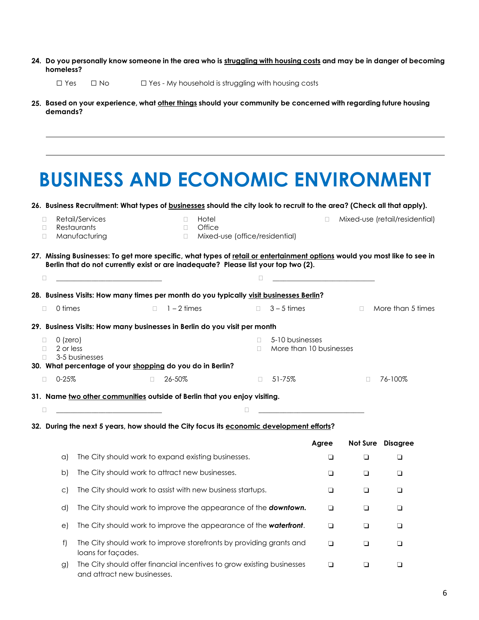- 24. Do you personally know someone in the area who is struggling with housing costs and may be in danger of becoming **homeless?**
	- ☐ Yes ☐ No ☐ Yes My household is struggling with housing costs
- **25. Based on your experience, what other things should your community be concerned with regarding future housing demands?**

|                   |                         | <b>BUSINESS AND ECONOMIC ENVIRONMENT</b>                                                                                                                                                                         |        |                            |                                                   |          |                                              |        |                                                                            |                                |
|-------------------|-------------------------|------------------------------------------------------------------------------------------------------------------------------------------------------------------------------------------------------------------|--------|----------------------------|---------------------------------------------------|----------|----------------------------------------------|--------|----------------------------------------------------------------------------|--------------------------------|
|                   |                         | 26. Business Recruitment: What types of <b>businesses</b> should the city look to recruit to the area? (Check all that apply).                                                                                   |        |                            |                                                   |          |                                              |        |                                                                            |                                |
| П<br>П<br>$\Box$  |                         | Retail/Services<br>Restaurants<br>Manufacturing                                                                                                                                                                  |        | $\Box$<br>$\Box$<br>$\Box$ | Hotel<br>Office<br>Mixed-use (office/residential) |          |                                              | 0      |                                                                            | Mixed-use (retail/residential) |
|                   |                         | 27. Missing Businesses: To get more specific, what types of retail or entertainment options would you most like to see in<br>Berlin that do not currently exist or are inadequate? Please list your top two (2). |        |                            |                                                   |          |                                              |        |                                                                            |                                |
| O.                |                         | <u> 1990 - John Stein, Amerikaansk politiker (</u>                                                                                                                                                               |        |                            |                                                   | □        |                                              |        | the control of the control of the control of the control of the control of |                                |
|                   |                         | 28. Business Visits: How many times per month do you typically visit businesses Berlin?                                                                                                                          |        |                            |                                                   |          |                                              |        |                                                                            |                                |
| $\Box$            | 0 times                 |                                                                                                                                                                                                                  | П      | $1 - 2$ times              |                                                   |          | $\Box$ 3 – 5 times                           |        |                                                                            | $\Box$ More than 5 times       |
|                   |                         | 29. Business Visits: How many businesses in Berlin do you visit per month                                                                                                                                        |        |                            |                                                   |          |                                              |        |                                                                            |                                |
| П<br>$\Box$<br>П. | $0$ (zero)<br>2 or less | 3-5 businesses                                                                                                                                                                                                   |        |                            |                                                   | П.<br>П. | 5-10 businesses<br>More than 10 businesses   |        |                                                                            |                                |
| $\Box$            | $0 - 25%$               | 30. What percentage of your shopping do you do in Berlin?                                                                                                                                                        | $\Box$ | 26-50%                     |                                                   | $\Box$   | 51-75%                                       |        | П                                                                          | 76-100%                        |
|                   |                         |                                                                                                                                                                                                                  |        |                            |                                                   |          |                                              |        |                                                                            |                                |
| □                 |                         | 31. Name two other communities outside of Berlin that you enjoy visiting.<br><u> 1980 - Johann Barbara, martin amerikan basar dan berasal dan berasal dalam basar dalam basar dalam basar dala</u>               |        |                            |                                                   | □        | the control of the control of the control of |        |                                                                            |                                |
|                   |                         | 32. During the next 5 years, how should the City focus its economic development efforts?                                                                                                                         |        |                            |                                                   |          |                                              |        |                                                                            |                                |
|                   |                         |                                                                                                                                                                                                                  |        |                            |                                                   |          |                                              | Agree  |                                                                            | Not Sure Disagree              |
|                   | a)                      | The City should work to expand existing businesses.                                                                                                                                                              |        |                            |                                                   |          |                                              | $\Box$ | $\Box$                                                                     | ❏                              |
|                   | b)                      | The City should work to attract new businesses.                                                                                                                                                                  |        |                            |                                                   |          |                                              | ❏      | ❏                                                                          | ❏                              |
|                   | $\circ$ )               | The City should work to assist with new business startups.                                                                                                                                                       |        |                            |                                                   |          |                                              | ❏      | ❏                                                                          | ❏                              |
|                   | d)                      | The City should work to improve the appearance of the <b>downtown.</b>                                                                                                                                           |        |                            |                                                   |          |                                              | ❏      | ❏                                                                          | ❏                              |
|                   | e)                      | The City should work to improve the appearance of the waterfront.                                                                                                                                                |        |                            |                                                   |          |                                              | □      | $\Box$                                                                     | $\Box$                         |
|                   | f)                      | The City should work to improve storefronts by providing grants and<br>loans for façades.                                                                                                                        |        |                            |                                                   |          |                                              | ❏      | ❏                                                                          | $\Box$                         |
|                   | g)                      | The City should offer financial incentives to grow existing businesses<br>and attract new businesses.                                                                                                            |        |                            |                                                   |          |                                              | $\Box$ | □                                                                          | $\Box$                         |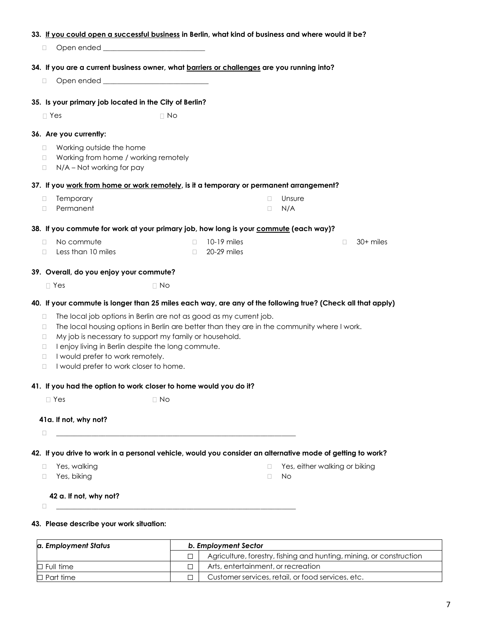#### **33. If you could open a successful business in Berlin, what kind of business and where would it be?**

 $\Box$  Open ended

#### **34. If you are a current business owner, what barriers or challenges are you running into?**

 $\Box$  Open ended  $\Box$ 

#### **35. Is your primary job located in the City of Berlin?**

 $\Box$  Yes  $\Box$  No

#### **36. Are you currently:**

- □ Working outside the home
- □ Working from home / working remotely
- $\Box$  N/A Not working for pay

#### **37. If you work from home or work remotely, is it a temporary or permanent arrangement?**

D Temporary Permanent Unsure  $\Box$  N/A

#### **38. If you commute for work at your primary job, how long is your commute (each way)?**

No commute  $\Box$  Less than 10 miles 10-19 miles 20-29 miles □ 30+ miles

#### **39. Overall, do you enjoy your commute?**

 $\Box$  Yes  $\Box$  No

#### **40. If your commute is longer than 25 miles each way, are any of the following true? (Check all that apply)**

- $\Box$  The local job options in Berlin are not as good as my current job.
- $\Box$  The local housing options in Berlin are better than they are in the community where I work.
- $\Box$  My job is necessary to support my family or household.
- $\Box$  I enjoy living in Berlin despite the long commute.
- I would prefer to work remotely.
- I would prefer to work closer to home.

#### **41. If you had the option to work closer to home would you do it?**

 $\Box$  Yes  $\Box$  No

#### **41a. If not, why not?**

\_\_\_\_\_\_\_\_\_\_\_\_\_\_\_\_\_\_\_\_\_\_\_\_\_\_\_\_\_\_\_\_\_\_\_\_\_\_\_\_\_\_\_\_\_\_\_\_\_\_\_\_\_\_\_\_\_\_\_\_\_\_\_\_\_\_\_\_

**42. If you drive to work in a personal vehicle, would you consider an alternative mode of getting to work?**

- □ Yes, walking
- □ Yes, biking
- □ Yes, either walking or biking
- $\neg$  No

#### **42 a. If not, why not?**

\_\_\_\_\_\_\_\_\_\_\_\_\_\_\_\_\_\_\_\_\_\_\_\_\_\_\_\_\_\_\_\_\_\_\_\_\_\_\_\_\_\_\_\_\_\_\_\_\_\_\_\_\_\_\_\_\_\_\_\_\_\_\_\_\_\_\_\_

#### **43. Please describe your work situation:**

| a. Employment Status | b. Employment Sector |                                                                     |  |  |  |
|----------------------|----------------------|---------------------------------------------------------------------|--|--|--|
|                      |                      | Agriculture, forestry, fishing and hunting, mining, or construction |  |  |  |
| $\Box$ Full time     |                      | Arts, entertainment, or recreation                                  |  |  |  |
| $\Box$ Part time     |                      | Customer services, retail, or food services, etc.                   |  |  |  |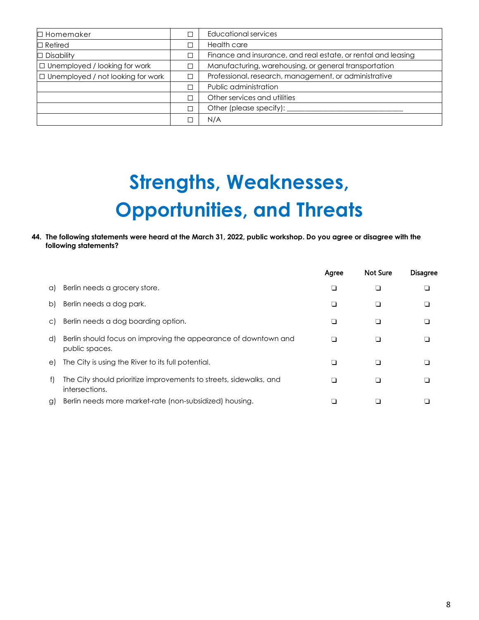| $\Box$ Homemaker                     | П      | Educational services                                          |
|--------------------------------------|--------|---------------------------------------------------------------|
| $\Box$ Retired                       | П      | Health care                                                   |
| $\Box$ Disability                    | $\Box$ | Finance and insurance, and real estate, or rental and leasing |
| $\Box$ Unemployed / looking for work | $\Box$ | Manufacturing, warehousing, or general transportation         |
| □ Unemployed / not looking for work  | П      | Professional, research, management, or administrative         |
|                                      | П      | Public administration                                         |
|                                      | □      | Other services and utilities                                  |
|                                      | П      | Other (please specify):                                       |
|                                      | □      | N/A                                                           |

# **Strengths, Weaknesses, Opportunities, and Threats**

**44. The following statements were heard at the March 31, 2022, public workshop. Do you agree or disagree with the following statements?**

|    |                                                                                      | Agree | <b>Not Sure</b> | <b>Disagree</b> |
|----|--------------------------------------------------------------------------------------|-------|-----------------|-----------------|
| a) | Berlin needs a grocery store.                                                        |       |                 |                 |
| b) | Berlin needs a dog park.                                                             |       |                 |                 |
| C) | Berlin needs a dog boarding option.                                                  |       |                 |                 |
| d) | Berlin should focus on improving the appearance of downtown and<br>public spaces.    |       |                 |                 |
| e) | The City is using the River to its full potential.                                   |       |                 |                 |
| f) | The City should prioritize improvements to streets, sidewalks, and<br>intersections. |       |                 |                 |
| g) | Berlin needs more market-rate (non-subsidized) housing.                              |       |                 |                 |